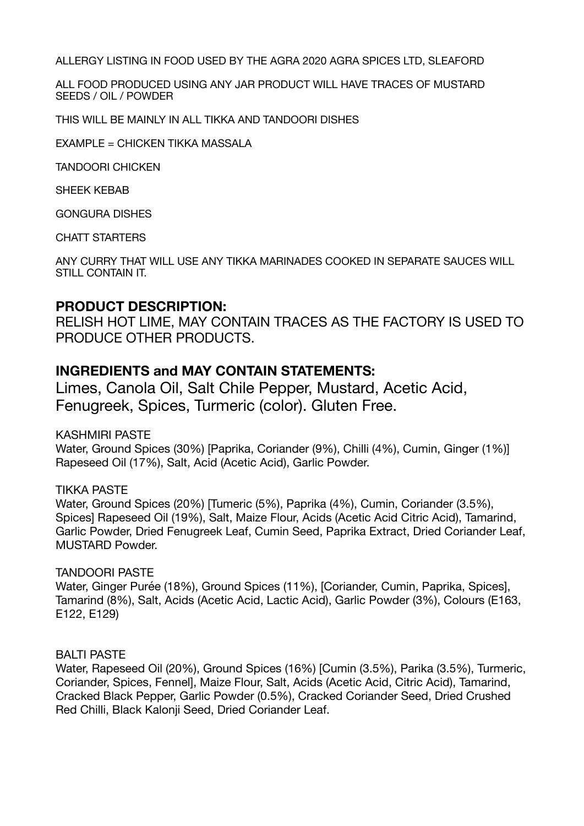ALLERGY LISTING IN FOOD USED BY THE AGRA 2020 AGRA SPICES LTD, SLEAFORD

ALL FOOD PRODUCED USING ANY JAR PRODUCT WILL HAVE TRACES OF MUSTARD SEEDS / OIL / POWDER

THIS WILL BE MAINLY IN ALL TIKKA AND TANDOORI DISHES

EXAMPLE = CHICKEN TIKKA MASSALA

TANDOORI CHICKEN

SHEEK KEBAB

GONGURA DISHES

CHATT STARTERS

ANY CURRY THAT WILL USE ANY TIKKA MARINADES COOKED IN SEPARATE SAUCES WILL STILL CONTAIN IT.

## **PRODUCT DESCRIPTION:**

RELISH HOT LIME, MAY CONTAIN TRACES AS THE FACTORY IS USED TO PRODUCE OTHER PRODUCTS.

# **INGREDIENTS and MAY CONTAIN STATEMENTS:**

Limes, Canola Oil, Salt Chile Pepper, Mustard, Acetic Acid, Fenugreek, Spices, Turmeric (color). Gluten Free.

KASHMIRI PASTE

Water, Ground Spices (30%) [Paprika, Coriander (9%), Chilli (4%), Cumin, Ginger (1%)] Rapeseed Oil (17%), Salt, Acid (Acetic Acid), Garlic Powder.

#### TIKKA PASTE

Water, Ground Spices (20%) [Tumeric (5%), Paprika (4%), Cumin, Coriander (3.5%), Spices] Rapeseed Oil (19%), Salt, Maize Flour, Acids (Acetic Acid Citric Acid), Tamarind, Garlic Powder, Dried Fenugreek Leaf, Cumin Seed, Paprika Extract, Dried Coriander Leaf, MUSTARD Powder.

#### TANDOORI PASTE

Water, Ginger Purée (18%), Ground Spices (11%), [Coriander, Cumin, Paprika, Spices], Tamarind (8%), Salt, Acids (Acetic Acid, Lactic Acid), Garlic Powder (3%), Colours (E163, E122, E129)

#### BALTI PASTE

Water, Rapeseed Oil (20%), Ground Spices (16%) [Cumin (3.5%), Parika (3.5%), Turmeric, Coriander, Spices, Fennel], Maize Flour, Salt, Acids (Acetic Acid, Citric Acid), Tamarind, Cracked Black Pepper, Garlic Powder (0.5%), Cracked Coriander Seed, Dried Crushed Red Chilli, Black Kalonji Seed, Dried Coriander Leaf.